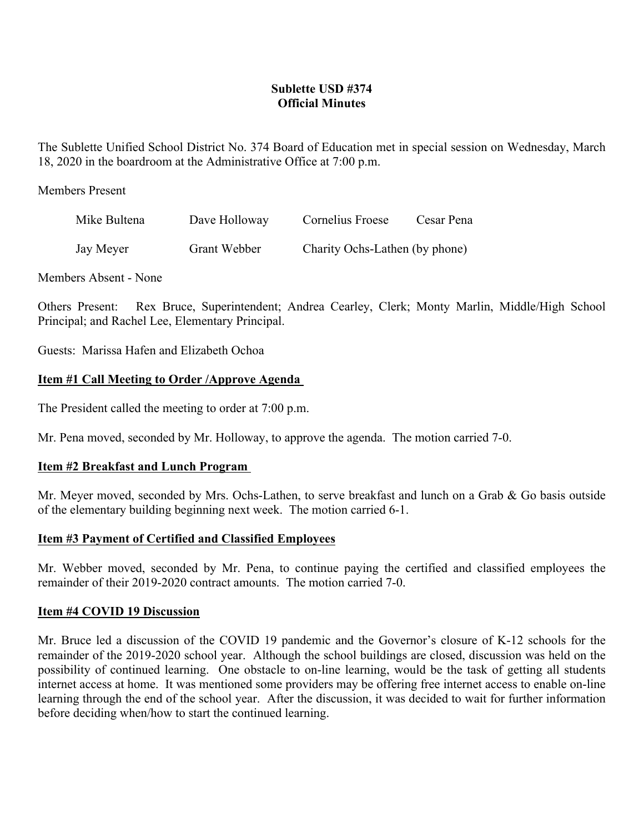# **Sublette USD #374 Official Minutes**

The Sublette Unified School District No. 374 Board of Education met in special session on Wednesday, March 18, 2020 in the boardroom at the Administrative Office at 7:00 p.m.

Members Present

| Mike Bultena | Dave Holloway | Cornelius Froese               | Cesar Pena |
|--------------|---------------|--------------------------------|------------|
| Jay Meyer    | Grant Webber  | Charity Ochs-Lathen (by phone) |            |

Members Absent - None

Others Present: Rex Bruce, Superintendent; Andrea Cearley, Clerk; Monty Marlin, Middle/High School Principal; and Rachel Lee, Elementary Principal.

Guests: Marissa Hafen and Elizabeth Ochoa

# **Item #1 Call Meeting to Order /Approve Agenda**

The President called the meeting to order at 7:00 p.m.

Mr. Pena moved, seconded by Mr. Holloway, to approve the agenda. The motion carried 7-0.

## **Item #2 Breakfast and Lunch Program**

Mr. Meyer moved, seconded by Mrs. Ochs-Lathen, to serve breakfast and lunch on a Grab & Go basis outside of the elementary building beginning next week. The motion carried 6-1.

## **Item #3 Payment of Certified and Classified Employees**

Mr. Webber moved, seconded by Mr. Pena, to continue paying the certified and classified employees the remainder of their 2019-2020 contract amounts. The motion carried 7-0.

## **Item #4 COVID 19 Discussion**

Mr. Bruce led a discussion of the COVID 19 pandemic and the Governor's closure of K-12 schools for the remainder of the 2019-2020 school year. Although the school buildings are closed, discussion was held on the possibility of continued learning. One obstacle to on-line learning, would be the task of getting all students internet access at home. It was mentioned some providers may be offering free internet access to enable on-line learning through the end of the school year. After the discussion, it was decided to wait for further information before deciding when/how to start the continued learning.